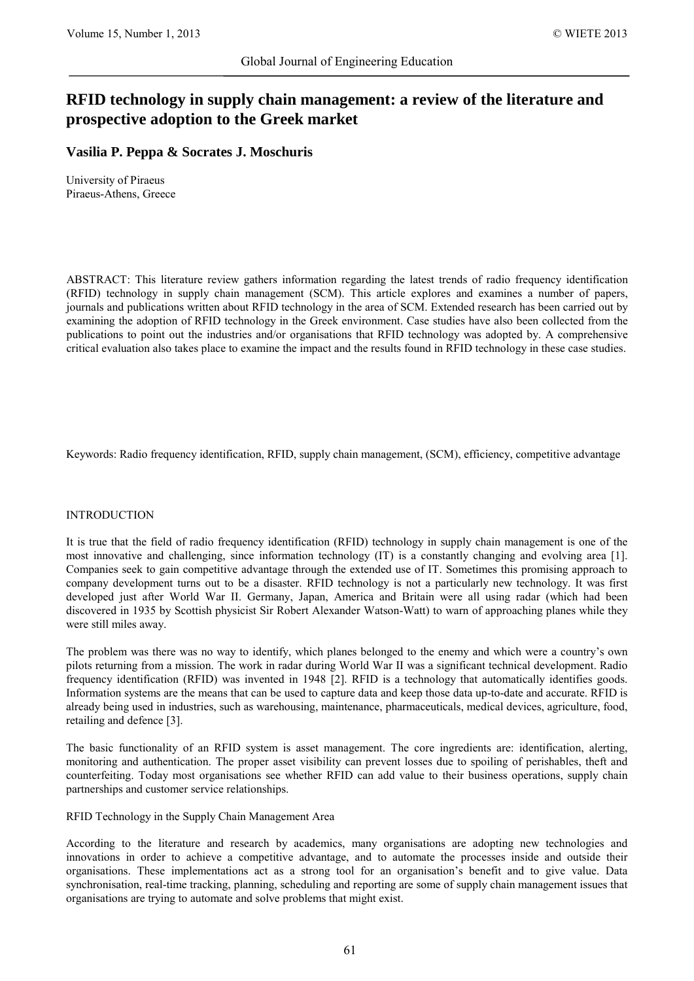# **RFID technology in supply chain management: a review of the literature and prospective adoption to the Greek market**

# **Vasilia P. Peppa & Socrates J. Moschuris**

University of Piraeus Piraeus-Athens, Greece

ABSTRACT: This literature review gathers information regarding the latest trends of radio frequency identification (RFID) technology in supply chain management (SCM). This article explores and examines a number of papers, journals and publications written about RFID technology in the area of SCM. Extended research has been carried out by examining the adoption of RFID technology in the Greek environment. Case studies have also been collected from the publications to point out the industries and/or organisations that RFID technology was adopted by. A comprehensive critical evaluation also takes place to examine the impact and the results found in RFID technology in these case studies.

Keywords: Radio frequency identification, RFID, supply chain management, (SCM), efficiency, competitive advantage

## INTRODUCTION

It is true that the field of radio frequency identification (RFID) technology in supply chain management is one of the most innovative and challenging, since information technology (IT) is a constantly changing and evolving area [1]. Companies seek to gain competitive advantage through the extended use of IT. Sometimes this promising approach to company development turns out to be a disaster. RFID technology is not a particularly new technology. It was first developed just after World War II. Germany, Japan, America and Britain were all using radar (which had been discovered in 1935 by Scottish physicist Sir Robert Alexander Watson-Watt) to warn of approaching planes while they were still miles away.

The problem was there was no way to identify, which planes belonged to the enemy and which were a country's own pilots returning from a mission. The work in radar during World War II was a significant technical development. Radio frequency identification (RFID) was invented in 1948 [2]. RFID is a technology that automatically identifies goods. Information systems are the means that can be used to capture data and keep those data up-to-date and accurate. RFID is already being used in industries, such as warehousing, maintenance, pharmaceuticals, medical devices, agriculture, food, retailing and defence [3].

The basic functionality of an RFID system is asset management. The core ingredients are: identification, alerting, monitoring and authentication. The proper asset visibility can prevent losses due to spoiling of perishables, theft and counterfeiting. Today most organisations see whether RFID can add value to their business operations, supply chain partnerships and customer service relationships.

## RFID Technology in the Supply Chain Management Area

According to the literature and research by academics, many organisations are adopting new technologies and innovations in order to achieve a competitive advantage, and to automate the processes inside and outside their organisations. These implementations act as a strong tool for an organisation's benefit and to give value. Data synchronisation, real-time tracking, planning, scheduling and reporting are some of supply chain management issues that organisations are trying to automate and solve problems that might exist.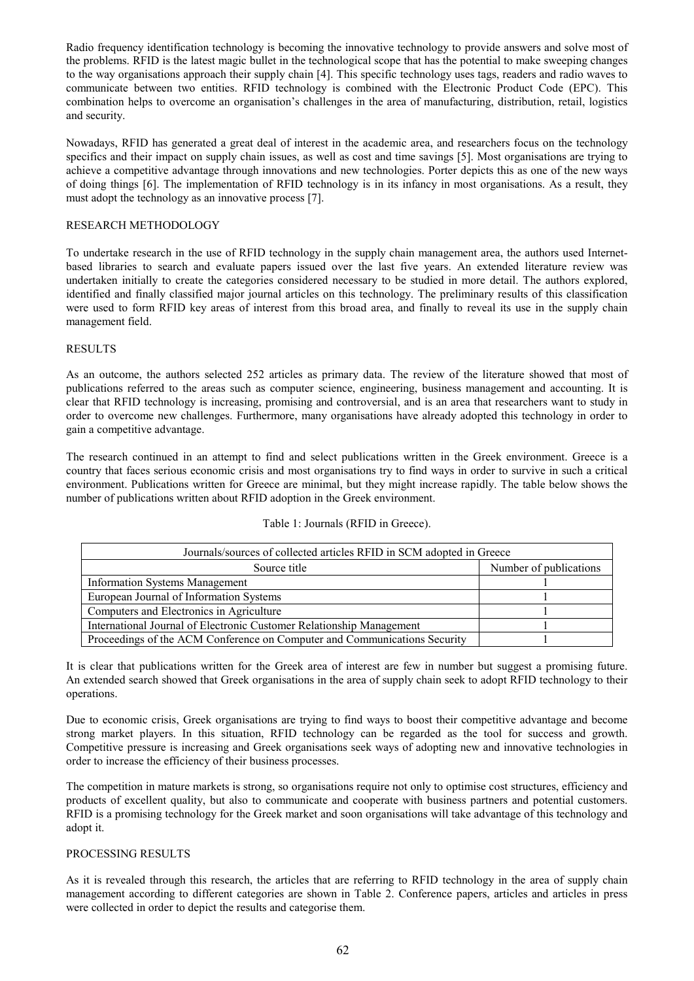Radio frequency identification technology is becoming the innovative technology to provide answers and solve most of the problems. RFID is the latest magic bullet in the technological scope that has the potential to make sweeping changes to the way organisations approach their supply chain [4]. This specific technology uses tags, readers and radio waves to communicate between two entities. RFID technology is combined with the Electronic Product Code (EPC). This combination helps to overcome an organisation's challenges in the area of manufacturing, distribution, retail, logistics and security.

Nowadays, RFID has generated a great deal of interest in the academic area, and researchers focus on the technology specifics and their impact on supply chain issues, as well as cost and time savings [5]. Most organisations are trying to achieve a competitive advantage through innovations and new technologies. Porter depicts this as one of the new ways of doing things [6]. The implementation of RFID technology is in its infancy in most organisations. As a result, they must adopt the technology as an innovative process [7].

#### RESEARCH METHODOLOGY

To undertake research in the use of RFID technology in the supply chain management area, the authors used Internetbased libraries to search and evaluate papers issued over the last five years. An extended literature review was undertaken initially to create the categories considered necessary to be studied in more detail. The authors explored, identified and finally classified major journal articles on this technology. The preliminary results of this classification were used to form RFID key areas of interest from this broad area, and finally to reveal its use in the supply chain management field.

#### RESULTS

As an outcome, the authors selected 252 articles as primary data. The review of the literature showed that most of publications referred to the areas such as computer science, engineering, business management and accounting. It is clear that RFID technology is increasing, promising and controversial, and is an area that researchers want to study in order to overcome new challenges. Furthermore, many organisations have already adopted this technology in order to gain a competitive advantage.

The research continued in an attempt to find and select publications written in the Greek environment. Greece is a country that faces serious economic crisis and most organisations try to find ways in order to survive in such a critical environment. Publications written for Greece are minimal, but they might increase rapidly. The table below shows the number of publications written about RFID adoption in the Greek environment.

## Table 1: Journals (RFID in Greece).

| Journals/sources of collected articles RFID in SCM adopted in Greece      |                        |  |  |  |
|---------------------------------------------------------------------------|------------------------|--|--|--|
| Source title                                                              | Number of publications |  |  |  |
| <b>Information Systems Management</b>                                     |                        |  |  |  |
| European Journal of Information Systems                                   |                        |  |  |  |
| Computers and Electronics in Agriculture                                  |                        |  |  |  |
| International Journal of Electronic Customer Relationship Management      |                        |  |  |  |
| Proceedings of the ACM Conference on Computer and Communications Security |                        |  |  |  |

It is clear that publications written for the Greek area of interest are few in number but suggest a promising future. An extended search showed that Greek organisations in the area of supply chain seek to adopt RFID technology to their operations.

Due to economic crisis, Greek organisations are trying to find ways to boost their competitive advantage and become strong market players. In this situation, RFID technology can be regarded as the tool for success and growth. Competitive pressure is increasing and Greek organisations seek ways of adopting new and innovative technologies in order to increase the efficiency of their business processes.

The competition in mature markets is strong, so organisations require not only to optimise cost structures, efficiency and products of excellent quality, but also to communicate and cooperate with business partners and potential customers. RFID is a promising technology for the Greek market and soon organisations will take advantage of this technology and adopt it.

## PROCESSING RESULTS

As it is revealed through this research, the articles that are referring to RFID technology in the area of supply chain management according to different categories are shown in Table 2. Conference papers, articles and articles in press were collected in order to depict the results and categorise them.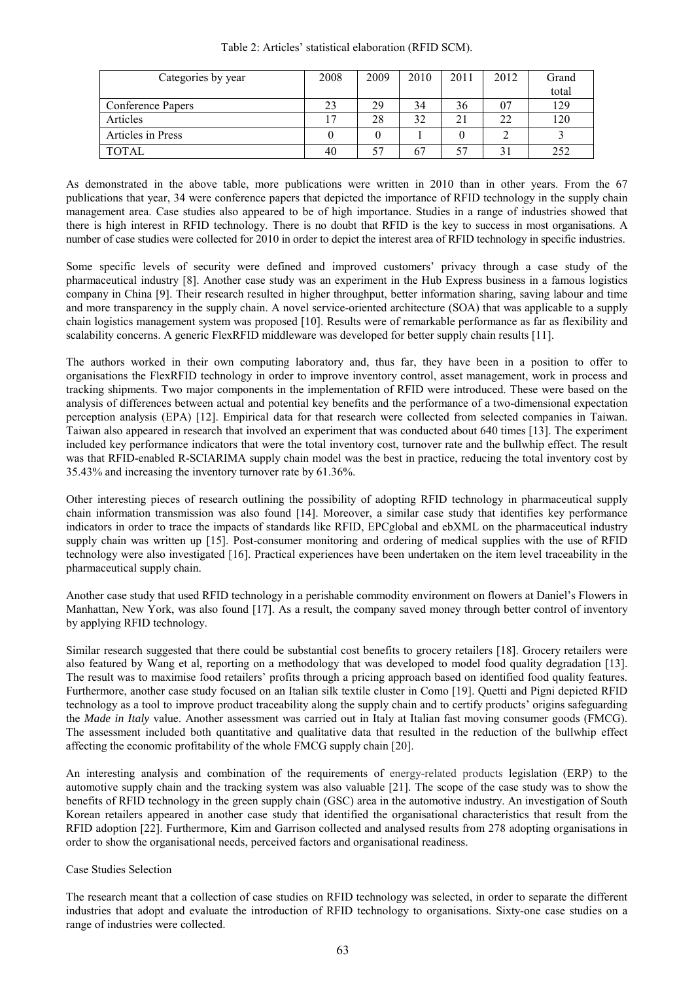| Categories by year | 2008 | 2009 | 2010 | 2011 | 2012 | Grand |
|--------------------|------|------|------|------|------|-------|
|                    |      |      |      |      |      | total |
| Conference Papers  | 23   | 29   | 34   | 36   | 07   | 129   |
| Articles           |      | 28   | 32   | 21   | 22   | 120   |
| Articles in Press  |      |      |      |      |      |       |
| <b>TOTAL</b>       | 40   | 57   | 67   |      |      | 252   |

Table 2: Articles' statistical elaboration (RFID SCM).

As demonstrated in the above table, more publications were written in 2010 than in other years. From the 67 publications that year, 34 were conference papers that depicted the importance of RFID technology in the supply chain management area. Case studies also appeared to be of high importance. Studies in a range of industries showed that there is high interest in RFID technology. There is no doubt that RFID is the key to success in most organisations. A number of case studies were collected for 2010 in order to depict the interest area of RFID technology in specific industries.

Some specific levels of security were defined and improved customers' privacy through a case study of the pharmaceutical industry [8]. Another case study was an experiment in the Hub Express business in a famous logistics company in China [9]. Their research resulted in higher throughput, better information sharing, saving labour and time and more transparency in the supply chain. A novel service-oriented architecture (SOA) that was applicable to a supply chain logistics management system was proposed [10]. Results were of remarkable performance as far as flexibility and scalability concerns. A generic FlexRFID middleware was developed for better supply chain results [11].

The authors worked in their own computing laboratory and, thus far, they have been in a position to offer to organisations the FlexRFID technology in order to improve inventory control, asset management, work in process and tracking shipments. Two major components in the implementation of RFID were introduced. These were based on the analysis of differences between actual and potential key benefits and the performance of a two-dimensional expectation perception analysis (EPA) [12]. Empirical data for that research were collected from selected companies in Taiwan. Taiwan also appeared in research that involved an experiment that was conducted about 640 times [13]. The experiment included key performance indicators that were the total inventory cost, turnover rate and the bullwhip effect. The result was that RFID-enabled R-SCIARIMA supply chain model was the best in practice, reducing the total inventory cost by 35.43% and increasing the inventory turnover rate by 61.36%.

Other interesting pieces of research outlining the possibility of adopting RFID technology in pharmaceutical supply chain information transmission was also found [14]. Moreover, a similar case study that identifies key performance indicators in order to trace the impacts of standards like RFID, EPCglobal and ebXML on the pharmaceutical industry supply chain was written up [15]. Post-consumer monitoring and ordering of medical supplies with the use of RFID technology were also investigated [16]. Practical experiences have been undertaken on the item level traceability in the pharmaceutical supply chain.

Another case study that used RFID technology in a perishable commodity environment on flowers at Daniel's Flowers in Manhattan, New York, was also found [17]. As a result, the company saved money through better control of inventory by applying RFID technology.

Similar research suggested that there could be substantial cost benefits to grocery retailers [18]. Grocery retailers were also featured by Wang et al, reporting on a methodology that was developed to model food quality degradation [13]. The result was to maximise food retailers' profits through a pricing approach based on identified food quality features. Furthermore, another case study focused on an Italian silk textile cluster in Como [19]. Quetti and Pigni depicted RFID technology as a tool to improve product traceability along the supply chain and to certify products' origins safeguarding the *Made in Italy* value. Another assessment was carried out in Italy at Italian fast moving consumer goods (FMCG). The assessment included both quantitative and qualitative data that resulted in the reduction of the bullwhip effect affecting the economic profitability of the whole FMCG supply chain [20].

An interesting analysis and combination of the requirements of energy-related products legislation (ERP) to the automotive supply chain and the tracking system was also valuable [21]. The scope of the case study was to show the benefits of RFID technology in the green supply chain (GSC) area in the automotive industry. An investigation of South Korean retailers appeared in another case study that identified the organisational characteristics that result from the RFID adoption [22]. Furthermore, Kim and Garrison collected and analysed results from 278 adopting organisations in order to show the organisational needs, perceived factors and organisational readiness.

## Case Studies Selection

The research meant that a collection of case studies on RFID technology was selected, in order to separate the different industries that adopt and evaluate the introduction of RFID technology to organisations. Sixty-one case studies on a range of industries were collected.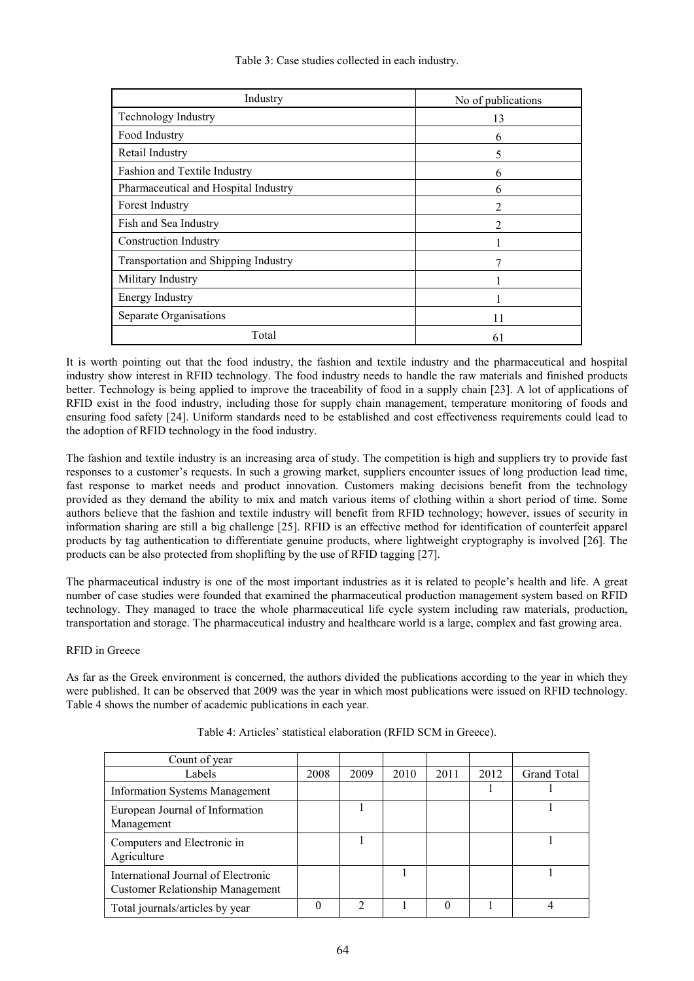Table 3: Case studies collected in each industry.

| Industry                             | No of publications |
|--------------------------------------|--------------------|
| <b>Technology Industry</b>           | 13                 |
| Food Industry                        | 6                  |
| Retail Industry                      | 5                  |
| Fashion and Textile Industry         | 6                  |
| Pharmaceutical and Hospital Industry | 6                  |
| Forest Industry                      | 2                  |
| Fish and Sea Industry                | 2                  |
| <b>Construction Industry</b>         |                    |
| Transportation and Shipping Industry |                    |
| Military Industry                    |                    |
| <b>Energy Industry</b>               |                    |
| Separate Organisations               | 11                 |
| Total                                | 61                 |

It is worth pointing out that the food industry, the fashion and textile industry and the pharmaceutical and hospital industry show interest in RFID technology. The food industry needs to handle the raw materials and finished products better. Technology is being applied to improve the traceability of food in a supply chain [23]. A lot of applications of RFID exist in the food industry, including those for supply chain management, temperature monitoring of foods and ensuring food safety [24]. Uniform standards need to be established and cost effectiveness requirements could lead to the adoption of RFID technology in the food industry.

The fashion and textile industry is an increasing area of study. The competition is high and suppliers try to provide fast responses to a customer's requests. In such a growing market, suppliers encounter issues of long production lead time, fast response to market needs and product innovation. Customers making decisions benefit from the technology provided as they demand the ability to mix and match various items of clothing within a short period of time. Some authors believe that the fashion and textile industry will benefit from RFID technology; however, issues of security in information sharing are still a big challenge [25]. RFID is an effective method for identification of counterfeit apparel products by tag authentication to differentiate genuine products, where lightweight cryptography is involved [26]. The products can be also protected from shoplifting by the use of RFID tagging [27].

The pharmaceutical industry is one of the most important industries as it is related to people's health and life. A great number of case studies were founded that examined the pharmaceutical production management system based on RFID technology. They managed to trace the whole pharmaceutical life cycle system including raw materials, production, transportation and storage. The pharmaceutical industry and healthcare world is a large, complex and fast growing area.

## RFID in Greece

As far as the Greek environment is concerned, the authors divided the publications according to the year in which they were published. It can be observed that 2009 was the year in which most publications were issued on RFID technology. Table 4 shows the number of academic publications in each year.

| Count of year                                                                  |      |                |      |      |      |                    |
|--------------------------------------------------------------------------------|------|----------------|------|------|------|--------------------|
| Labels                                                                         | 2008 | 2009           | 2010 | 2011 | 2012 | <b>Grand Total</b> |
| <b>Information Systems Management</b>                                          |      |                |      |      |      |                    |
| European Journal of Information<br>Management                                  |      |                |      |      |      |                    |
| Computers and Electronic in<br>Agriculture                                     |      |                |      |      |      |                    |
| International Journal of Electronic<br><b>Customer Relationship Management</b> |      |                |      |      |      |                    |
| Total journals/articles by year                                                |      | $\mathfrak{D}$ |      |      |      |                    |

Table 4: Articles' statistical elaboration (RFID SCM in Greece).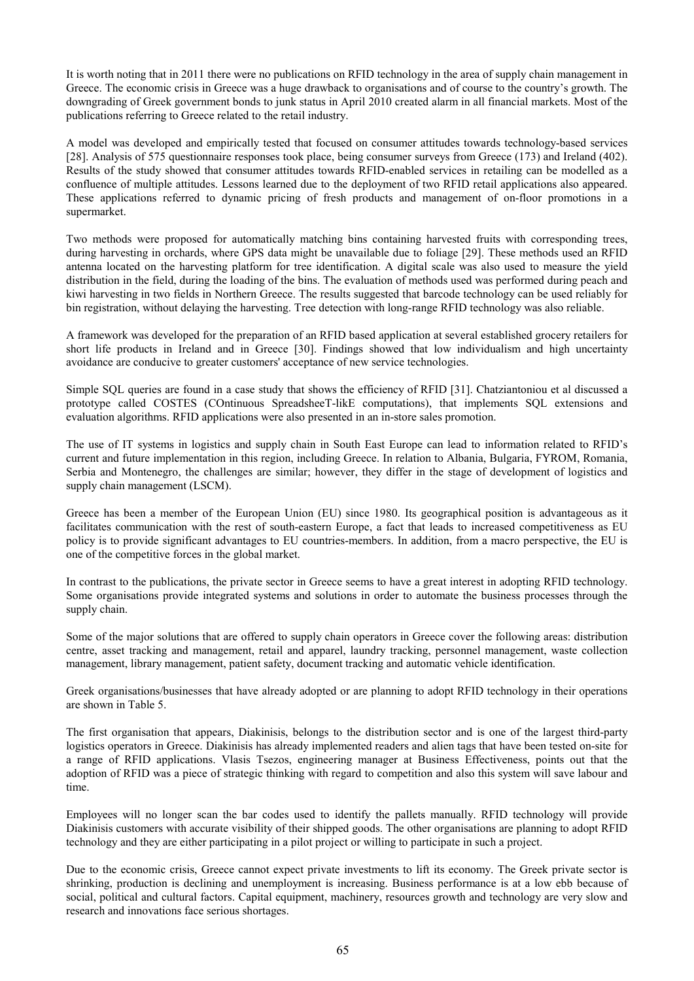It is worth noting that in 2011 there were no publications on RFID technology in the area of supply chain management in Greece. The economic crisis in Greece was a huge drawback to organisations and of course to the country's growth. The downgrading of Greek government bonds to junk status in April 2010 created alarm in all financial markets. Most of the publications referring to Greece related to the retail industry.

A model was developed and empirically tested that focused on consumer attitudes towards technology-based services [28]. Analysis of 575 questionnaire responses took place, being consumer surveys from Greece (173) and Ireland (402). Results of the study showed that consumer attitudes towards RFID-enabled services in retailing can be modelled as a confluence of multiple attitudes. Lessons learned due to the deployment of two RFID retail applications also appeared. These applications referred to dynamic pricing of fresh products and management of on-floor promotions in a supermarket.

Two methods were proposed for automatically matching bins containing harvested fruits with corresponding trees, during harvesting in orchards, where GPS data might be unavailable due to foliage [29]. These methods used an RFID antenna located on the harvesting platform for tree identification. A digital scale was also used to measure the yield distribution in the field, during the loading of the bins. The evaluation of methods used was performed during peach and kiwi harvesting in two fields in Northern Greece. The results suggested that barcode technology can be used reliably for bin registration, without delaying the harvesting. Tree detection with long-range RFID technology was also reliable.

A framework was developed for the preparation of an RFID based application at several established grocery retailers for short life products in Ireland and in Greece [30]. Findings showed that low individualism and high uncertainty avoidance are conducive to greater customers' acceptance of new service technologies.

Simple SQL queries are found in a case study that shows the efficiency of RFID [31]. Chatziantoniou et al discussed a prototype called COSTES (COntinuous SpreadsheeT-likE computations), that implements SQL extensions and evaluation algorithms. RFID applications were also presented in an in-store sales promotion.

The use of IT systems in logistics and supply chain in South East Europe can lead to information related to RFID's current and future implementation in this region, including Greece. In relation to Albania, Bulgaria, FYROM, Romania, Serbia and Montenegro, the challenges are similar; however, they differ in the stage of development of logistics and supply chain management (LSCM).

Greece has been a member of the European Union (EU) since 1980. Its geographical position is advantageous as it facilitates communication with the rest of south-eastern Europe, a fact that leads to increased competitiveness as EU policy is to provide significant advantages to EU countries-members. In addition, from a macro perspective, the EU is one of the competitive forces in the global market.

In contrast to the publications, the private sector in Greece seems to have a great interest in adopting RFID technology. Some organisations provide integrated systems and solutions in order to automate the business processes through the supply chain.

Some of the major solutions that are offered to supply chain operators in Greece cover the following areas: distribution centre, asset tracking and management, retail and apparel, laundry tracking, personnel management, waste collection management, library management, patient safety, document tracking and automatic vehicle identification.

Greek organisations/businesses that have already adopted or are planning to adopt RFID technology in their operations are shown in Table 5.

The first organisation that appears, Diakinisis, belongs to the distribution sector and is one of the largest third-party logistics operators in Greece. Diakinisis has already implemented readers and alien tags that have been tested on-site for a range of RFID applications. Vlasis Tsezos, engineering manager at Business Effectiveness, points out that the adoption of RFID was a piece of strategic thinking with regard to competition and also this system will save labour and time.

Employees will no longer scan the bar codes used to identify the pallets manually. RFID technology will provide Diakinisis customers with accurate visibility of their shipped goods. The other organisations are planning to adopt RFID technology and they are either participating in a pilot project or willing to participate in such a project.

Due to the economic crisis, Greece cannot expect private investments to lift its economy. The Greek private sector is shrinking, production is declining and unemployment is increasing. Business performance is at a low ebb because of social, political and cultural factors. Capital equipment, machinery, resources growth and technology are very slow and research and innovations face serious shortages.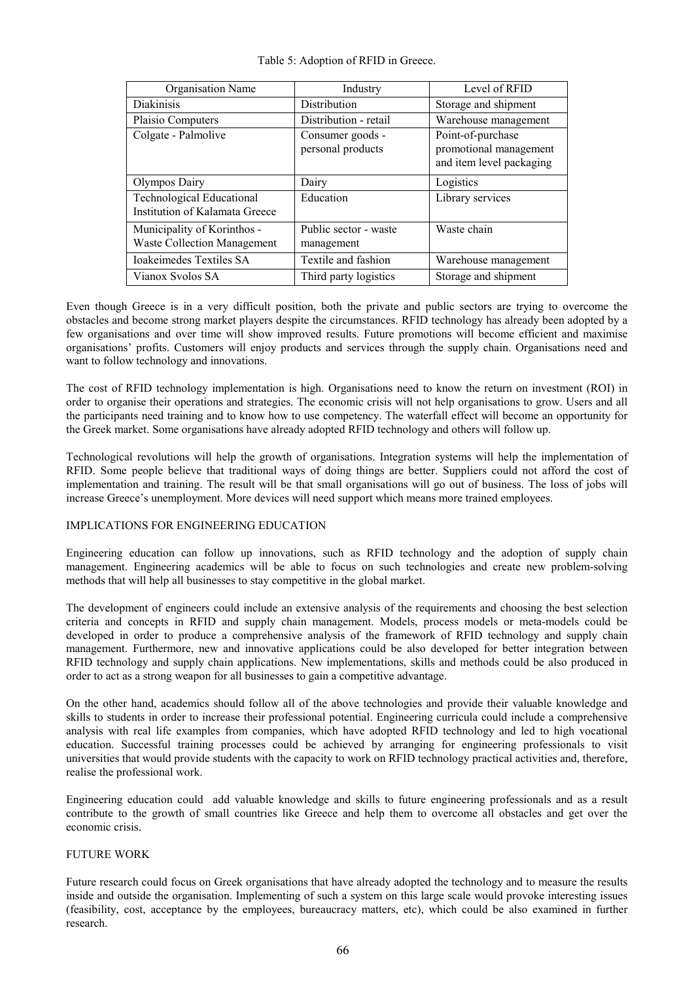| Table 5: Adoption of RFID in Greece. |  |
|--------------------------------------|--|
|--------------------------------------|--|

| Organisation Name                                                  | Industry                              | Level of RFID                                                           |
|--------------------------------------------------------------------|---------------------------------------|-------------------------------------------------------------------------|
| <b>Diakinisis</b>                                                  | <b>Distribution</b>                   | Storage and shipment                                                    |
| Plaisio Computers                                                  | Distribution - retail                 | Warehouse management                                                    |
| Colgate - Palmolive                                                | Consumer goods -<br>personal products | Point-of-purchase<br>promotional management<br>and item level packaging |
| Olympos Dairy                                                      | Dairy                                 | Logistics                                                               |
| <b>Technological Educational</b><br>Institution of Kalamata Greece | Education                             | Library services                                                        |
| Municipality of Korinthos -<br><b>Waste Collection Management</b>  | Public sector - waste<br>management   | Waste chain                                                             |
| Ioakeimedes Textiles SA                                            | Textile and fashion                   | Warehouse management                                                    |
| Vianox Svolos SA                                                   | Third party logistics                 | Storage and shipment                                                    |

Even though Greece is in a very difficult position, both the private and public sectors are trying to overcome the obstacles and become strong market players despite the circumstances. RFID technology has already been adopted by a few organisations and over time will show improved results. Future promotions will become efficient and maximise organisations' profits. Customers will enjoy products and services through the supply chain. Organisations need and want to follow technology and innovations.

The cost of RFID technology implementation is high. Organisations need to know the return on investment (ROI) in order to organise their operations and strategies. The economic crisis will not help organisations to grow. Users and all the participants need training and to know how to use competency. The waterfall effect will become an opportunity for the Greek market. Some organisations have already adopted RFID technology and others will follow up.

Technological revolutions will help the growth of organisations. Integration systems will help the implementation of RFID. Some people believe that traditional ways of doing things are better. Suppliers could not afford the cost of implementation and training. The result will be that small organisations will go out of business. The loss of jobs will increase Greece's unemployment. More devices will need support which means more trained employees.

## IMPLICATIONS FOR ENGINEERING EDUCATION

Engineering education can follow up innovations, such as RFID technology and the adoption of supply chain management. Engineering academics will be able to focus on such technologies and create new problem-solving methods that will help all businesses to stay competitive in the global market.

The development of engineers could include an extensive analysis of the requirements and choosing the best selection criteria and concepts in RFID and supply chain management. Models, process models or meta-models could be developed in order to produce a comprehensive analysis of the framework of RFID technology and supply chain management. Furthermore, new and innovative applications could be also developed for better integration between RFID technology and supply chain applications. New implementations, skills and methods could be also produced in order to act as a strong weapon for all businesses to gain a competitive advantage.

On the other hand, academics should follow all of the above technologies and provide their valuable knowledge and skills to students in order to increase their professional potential. Engineering curricula could include a comprehensive analysis with real life examples from companies, which have adopted RFID technology and led to high vocational education. Successful training processes could be achieved by arranging for engineering professionals to visit universities that would provide students with the capacity to work on RFID technology practical activities and, therefore, realise the professional work.

Engineering education could add valuable knowledge and skills to future engineering professionals and as a result contribute to the growth of small countries like Greece and help them to overcome all obstacles and get over the economic crisis.

## FUTURE WORK

Future research could focus on Greek organisations that have already adopted the technology and to measure the results inside and outside the organisation. Implementing of such a system on this large scale would provoke interesting issues (feasibility, cost, acceptance by the employees, bureaucracy matters, etc), which could be also examined in further research.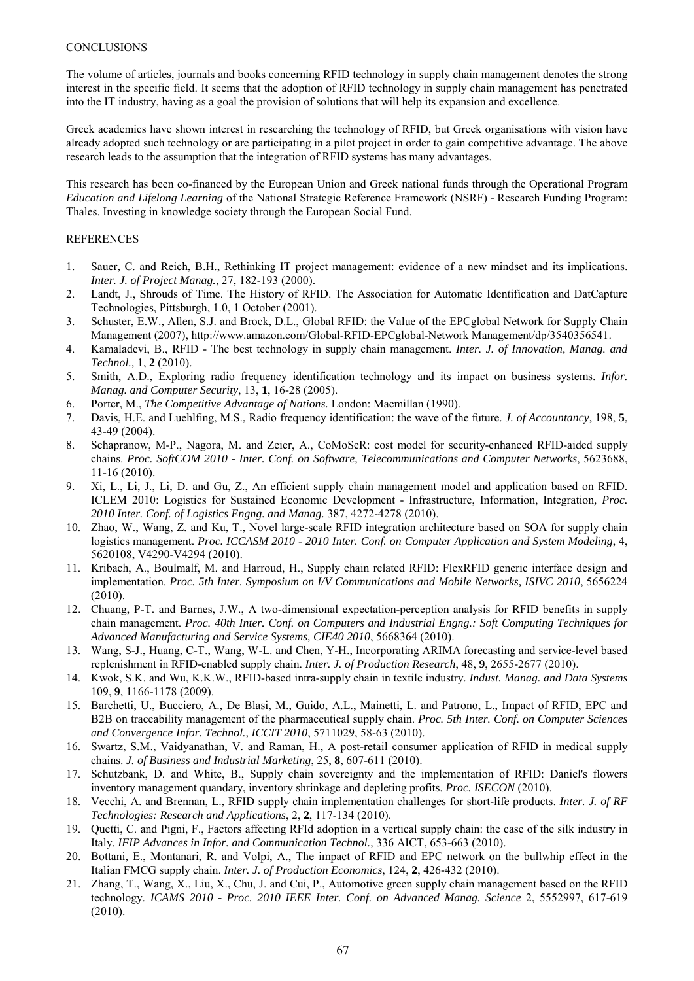The volume of articles, journals and books concerning RFID technology in supply chain management denotes the strong interest in the specific field. It seems that the adoption of RFID technology in supply chain management has penetrated into the IT industry, having as a goal the provision of solutions that will help its expansion and excellence.

Greek academics have shown interest in researching the technology of RFID, but Greek organisations with vision have already adopted such technology or are participating in a pilot project in order to gain competitive advantage. The above research leads to the assumption that the integration of RFID systems has many advantages.

This research has been co-financed by the European Union and Greek national funds through the Operational Program *Education and Lifelong Learning* of the National Strategic Reference Framework (NSRF) - Research Funding Program: Thales. Investing in knowledge society through the European Social Fund.

## REFERENCES

- 1. Sauer, C. and Reich, B.H., Rethinking IT project management: evidence of a new mindset and its implications. *Inter. J. of Project Manag.*, 27, 182-193 (2000).
- 2. Landt, J., Shrouds of Time. The History of RFID. The Association for Automatic Identification and DatCapture Technologies, Pittsburgh, 1.0, 1 October (2001).
- 3. Schuster, E.W., Allen, S.J. and Brock, D.L., Global RFID: the Value of the EPCglobal Network for Supply Chain Management (2007), http://www.amazon.com/Global-RFID-EPCglobal-Network Management/dp/3540356541.
- 4. Kamaladevi, B., RFID The best technology in supply chain management. *Inter. J. of Innovation, Manag. and Technol.,* 1, **2** (2010).
- 5. Smith, A.D., Exploring radio frequency identification technology and its impact on business systems. *Infor. Manag. and Computer Security*, 13, **1**, 16-28 (2005).
- 6. Porter, M., *The Competitive Advantage of Nations.* London: Macmillan (1990).
- 7. Davis, H.E. and Luehlfing, M.S., Radio frequency identification: the wave of the future. *J. of Accountancy*, 198, **5**, 43-49 (2004).
- 8. Schapranow, M-P., Nagora, M. and Zeier, A., CoMoSeR: cost model for security-enhanced RFID-aided supply chains. *Proc. SoftCOM 2010 - Inter. Conf. on Software, Telecommunications and Computer Networks*, 5623688, 11-16 (2010).
- 9. Xi, L., Li, J., Li, D. and Gu, Z., An efficient supply chain management model and application based on RFID. ICLEM 2010: Logistics for Sustained Economic Development - Infrastructure, Information, Integration*, Proc. 2010 Inter. Conf. of Logistics Engng. and Manag.* 387, 4272-4278 (2010).
- 10. Zhao, W., Wang, Z. and Ku, T., Novel large-scale RFID integration architecture based on SOA for supply chain logistics management. *Proc. ICCASM 2010 - 2010 Inter. Conf. on Computer Application and System Modeling*, 4, 5620108, V4290-V4294 (2010).
- 11. Kribach, A., Boulmalf, M. and Harroud, H., Supply chain related RFID: FlexRFID generic interface design and implementation. *Proc. 5th Inter. Symposium on I/V Communications and Mobile Networks, ISIVC 2010*, 5656224 (2010).
- 12. Chuang, P-T. and Barnes, J.W., A two-dimensional expectation-perception analysis for RFID benefits in supply chain management. *Proc. 40th Inter. Conf. on Computers and Industrial Engng.: Soft Computing Techniques for Advanced Manufacturing and Service Systems, CIE40 2010*, 5668364 (2010).
- 13. Wang, S-J., Huang, C-T., Wang, W-L. and Chen, Y-H., Incorporating ARIMA forecasting and service-level based replenishment in RFID-enabled supply chain. *Inter. J. of Production Research*, 48, **9**, 2655-2677 (2010).
- 14. Kwok, S.K. and Wu, K.K.W., RFID-based intra-supply chain in textile industry. *Indust. Manag. and Data Systems* 109, **9**, 1166-1178 (2009).
- 15. Barchetti, U., Bucciero, A., De Blasi, M., Guido, A.L., Mainetti, L. and Patrono, L., Impact of RFID, EPC and B2B on traceability management of the pharmaceutical supply chain. *Proc. 5th Inter. Conf. on Computer Sciences and Convergence Infor. Technol., ICCIT 2010*, 5711029, 58-63 (2010).
- 16. Swartz, S.M., Vaidyanathan, V. and Raman, H., A post-retail consumer application of RFID in medical supply chains. *J. of Business and Industrial Marketing*, 25, **8**, 607-611 (2010).
- 17. Schutzbank, D. and White, B., Supply chain sovereignty and the implementation of RFID: Daniel's flowers inventory management quandary, inventory shrinkage and depleting profits. *Proc. ISECON* (2010).
- 18. Vecchi, A. and Brennan, L., RFID supply chain implementation challenges for short-life products. *Inter. J. of RF Technologies: Research and Applications*, 2, **2**, 117-134 (2010).
- 19. Quetti, C. and Pigni, F., Factors affecting RFId adoption in a vertical supply chain: the case of the silk industry in Italy. *IFIP Advances in Infor. and Communication Technol.,* 336 AICT, 653-663 (2010).
- 20. Bottani, E., Montanari, R. and Volpi, A., The impact of RFID and EPC network on the bullwhip effect in the Italian FMCG supply chain. *Inter. J. of Production Economics*, 124, **2**, 426-432 (2010).
- 21. Zhang, T., Wang, X., Liu, X., Chu, J. and Cui, P., Automotive green supply chain management based on the RFID technology. *ICAMS 2010 - Proc. 2010 IEEE Inter. Conf. on Advanced Manag. Science* 2, 5552997, 617-619 (2010).